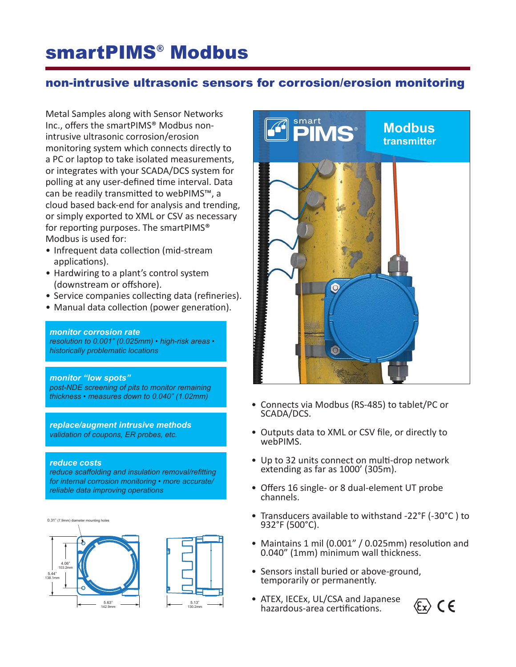# smartPIMS® Modbus

### non-intrusive ultrasonic sensors for corrosion/erosion monitoring

Metal Samples along with Sensor Networks Inc., offers the smartPIMS® Modbus nonintrusive ultrasonic corrosion/erosion monitoring system which connects directly to a PC or laptop to take isolated measurements, or integrates with your SCADA/DCS system for polling at any user-defined time interval. Data can be readily transmitted to webPIMS™, a cloud based back-end for analysis and trending, or simply exported to XML or CSV as necessary for reporting purposes. The smartPIMS® Modbus is used for:

- Infrequent data collection (mid-stream applications).
- Hardwiring to a plant's control system (downstream or offshore).
- Service companies collecting data (refineries).
- Manual data collection (power generation).

#### *monitor corrosion rate*

*resolution to 0.001" (0.025mm) • high-risk areas • historically problematic locations*

#### *monitor "low spots"*

*post-NDE screening of pits to monitor remaining thickness • measures down to 0.040" (1.02mm)*

*replace/augment intrusive methods validation of coupons, ER probes, etc.*

#### *reduce costs*

*reduce scaffolding and insulation removal/refitting for internal corrosion monitoring • more accurate/ reliable data improving operations*





- Connects via Modbus (RS-485) to tablet/PC or SCADA/DCS.
- Outputs data to XML or CSV file, or directly to webPIMS.
- Up to 32 units connect on multi-drop network extending as far as 1000' (305m).
- Offers 16 single- or 8 dual-element UT probe channels.
- Transducers available to withstand -22°F (-30°C ) to 932°F (500°C).
- Maintains 1 mil (0.001" / 0.025mm) resolution and 0.040" (1mm) minimum wall thickness.
- Sensors install buried or above-ground, temporarily or permanently.
- ATEX, IECEx, UL/CSA and Japanese hazardous-area certifications.